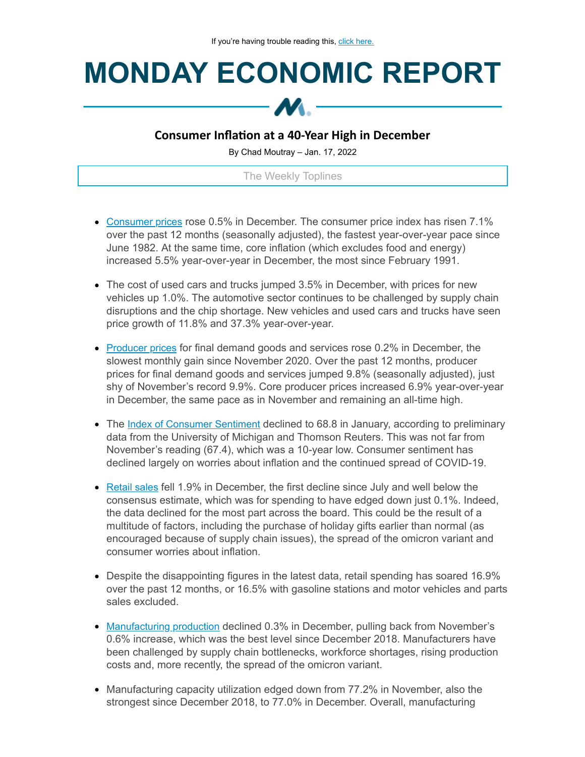## **MONDAY ECONOMIC REPORT**



## **Consumer Inflation at a 40-Year High in December**

By Chad Moutray – Jan. 17, 2022

The Weekly Toplines

- [Consumer prices](https://click.email.nam.org/?qs=9eec9bb3bf6b87fabd96d5f311888f91588dcfaeeaa900a9ffb3acbc78a59e091f2b2004dd0af400966e4b3f0a4cfd682118750507e998f648b3fca219999cd9) rose 0.5% in December. The consumer price index has risen 7.1% over the past 12 months (seasonally adjusted), the fastest year-over-year pace since June 1982. At the same time, core inflation (which excludes food and energy) increased 5.5% year-over-year in December, the most since February 1991.
- The cost of used cars and trucks jumped 3.5% in December, with prices for new vehicles up 1.0%. The automotive sector continues to be challenged by supply chain disruptions and the chip shortage. New vehicles and used cars and trucks have seen price growth of 11.8% and 37.3% year-over-year.
- [Producer prices](https://click.email.nam.org/?qs=9eec9bb3bf6b87fad0f82d5296202a57c8d74dbad30243f731cc744ae083e010d54dc71df80a5ee892a14c901a2c029a46f047057eb1a3ddb84df1c6b1b569e0) for final demand goods and services rose 0.2% in December, the slowest monthly gain since November 2020. Over the past 12 months, producer prices for final demand goods and services jumped 9.8% (seasonally adjusted), just shy of November's record 9.9%. Core producer prices increased 6.9% year-over-year in December, the same pace as in November and remaining an all-time high.
- The [Index of Consumer Sentiment](https://click.email.nam.org/?qs=9eec9bb3bf6b87fa722ddcfc1e8b503364fd002adfaecd1b5a0de2b76bd408effedf84de62c3daea45bd87fcf8c3f98c3ce96f31d8993c42bf1bfb830b9822a5) declined to 68.8 in January, according to preliminary data from the University of Michigan and Thomson Reuters. This was not far from November's reading (67.4), which was a 10-year low. Consumer sentiment has declined largely on worries about inflation and the continued spread of COVID-19.
- [Retail sales](https://click.email.nam.org/?qs=9eec9bb3bf6b87fa47ef04e1195dbc524c3b070056c91b5cd09c25025f92281b0f7640a86bebe94037660e701e4c44e393fe5d7c9af766c6bdbd0789dfa38f8f) fell 1.9% in December, the first decline since July and well below the consensus estimate, which was for spending to have edged down just 0.1%. Indeed, the data declined for the most part across the board. This could be the result of a multitude of factors, including the purchase of holiday gifts earlier than normal (as encouraged because of supply chain issues), the spread of the omicron variant and consumer worries about inflation.
- Despite the disappointing figures in the latest data, retail spending has soared 16.9% over the past 12 months, or 16.5% with gasoline stations and motor vehicles and parts sales excluded.
- [Manufacturing production](https://click.email.nam.org/?qs=9eec9bb3bf6b87fa974ce1e67c2d06a61fecde0c8d50996f04d0bd3a32bd9920f580b5ada4f7e299b938f81a7ca82f42bf30266ed47aa104a6aa933937080fc9) declined 0.3% in December, pulling back from November's 0.6% increase, which was the best level since December 2018. Manufacturers have been challenged by supply chain bottlenecks, workforce shortages, rising production costs and, more recently, the spread of the omicron variant.
- Manufacturing capacity utilization edged down from 77.2% in November, also the strongest since December 2018, to 77.0% in December. Overall, manufacturing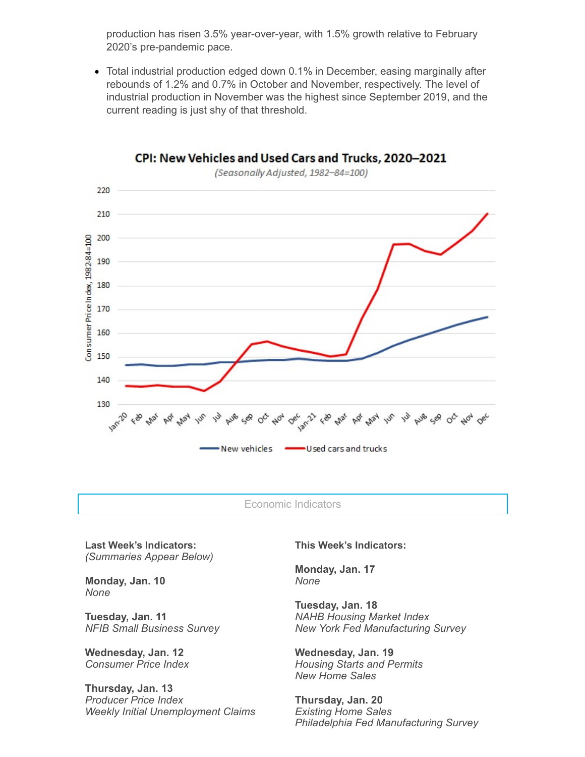production has risen 3.5% year-over-year, with 1.5% growth relative to February 2020's pre-pandemic pace.

Total industrial production edged down 0.1% in December, easing marginally after rebounds of 1.2% and 0.7% in October and November, respectively. The level of industrial production in November was the highest since September 2019, and the current reading is just shy of that threshold.



CPI: New Vehicles and Used Cars and Trucks, 2020-2021

Economic Indicators

**Last Week's Indicators:** *(Summaries Appear Below)*

**Monday, Jan. 10** *None*

**Tuesday, Jan. 11** *NFIB Small Business Survey*

**Wednesday, Jan. 12** *Consumer Price Index*

**Thursday, Jan. 13** *Producer Price Index Weekly Initial Unemployment Claims* **This Week's Indicators:**

**Monday, Jan. 17** *None*

**Tuesday, Jan. 18** *NAHB Housing Market Index New York Fed Manufacturing Survey*

**Wednesday, Jan. 19** *Housing Starts and Permits New Home Sales*

**Thursday, Jan. 20** *Existing Home Sales Philadelphia Fed Manufacturing Survey*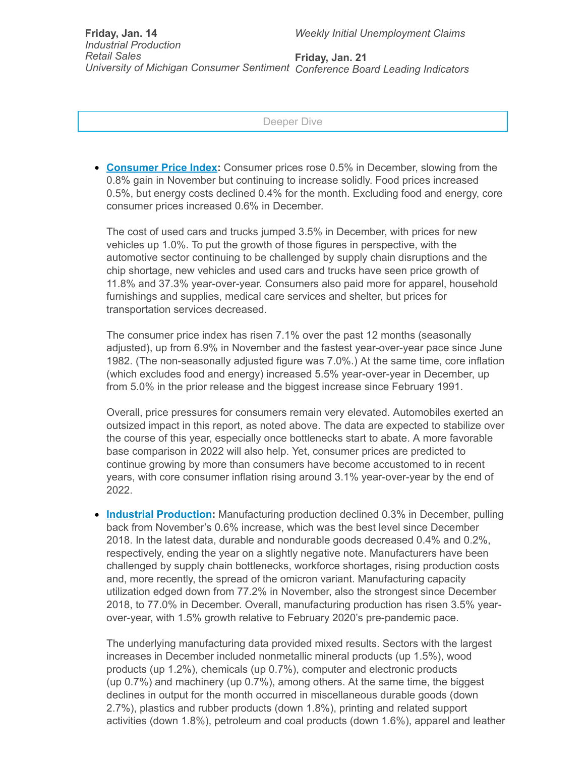Deeper Dive

**[Consumer](https://click.email.nam.org/?qs=9eec9bb3bf6b87fabd96d5f311888f91588dcfaeeaa900a9ffb3acbc78a59e091f2b2004dd0af400966e4b3f0a4cfd682118750507e998f648b3fca219999cd9) Price Index:** Consumer prices rose 0.5% in December, slowing from the 0.8% gain in November but continuing to increase solidly. Food prices increased 0.5%, but energy costs declined 0.4% for the month. Excluding food and energy, core consumer prices increased 0.6% in December.

The cost of used cars and trucks jumped 3.5% in December, with prices for new vehicles up 1.0%. To put the growth of those figures in perspective, with the automotive sector continuing to be challenged by supply chain disruptions and the chip shortage, new vehicles and used cars and trucks have seen price growth of 11.8% and 37.3% year-over-year. Consumers also paid more for apparel, household furnishings and supplies, medical care services and shelter, but prices for transportation services decreased.

The consumer price index has risen 7.1% over the past 12 months (seasonally adjusted), up from 6.9% in November and the fastest year-over-year pace since June 1982. (The non-seasonally adjusted figure was 7.0%.) At the same time, core inflation (which excludes food and energy) increased 5.5% year-over-year in December, up from 5.0% in the prior release and the biggest increase since February 1991.

Overall, price pressures for consumers remain very elevated. Automobiles exerted an outsized impact in this report, as noted above. The data are expected to stabilize over the course of this year, especially once bottlenecks start to abate. A more favorable base comparison in 2022 will also help. Yet, consumer prices are predicted to continue growing by more than consumers have become accustomed to in recent years, with core consumer inflation rising around 3.1% year-over-year by the end of 2022.

**Industrial [Production](https://click.email.nam.org/?qs=9eec9bb3bf6b87fa974ce1e67c2d06a61fecde0c8d50996f04d0bd3a32bd9920f580b5ada4f7e299b938f81a7ca82f42bf30266ed47aa104a6aa933937080fc9):** Manufacturing production declined 0.3% in December, pulling back from November's 0.6% increase, which was the best level since December 2018. In the latest data, durable and nondurable goods decreased 0.4% and 0.2%, respectively, ending the year on a slightly negative note. Manufacturers have been challenged by supply chain bottlenecks, workforce shortages, rising production costs and, more recently, the spread of the omicron variant. Manufacturing capacity utilization edged down from 77.2% in November, also the strongest since December 2018, to 77.0% in December. Overall, manufacturing production has risen 3.5% yearover-year, with 1.5% growth relative to February 2020's pre-pandemic pace.

The underlying manufacturing data provided mixed results. Sectors with the largest increases in December included nonmetallic mineral products (up 1.5%), wood products (up 1.2%), chemicals (up 0.7%), computer and electronic products (up 0.7%) and machinery (up 0.7%), among others. At the same time, the biggest declines in output for the month occurred in miscellaneous durable goods (down 2.7%), plastics and rubber products (down 1.8%), printing and related support activities (down 1.8%), petroleum and coal products (down 1.6%), apparel and leather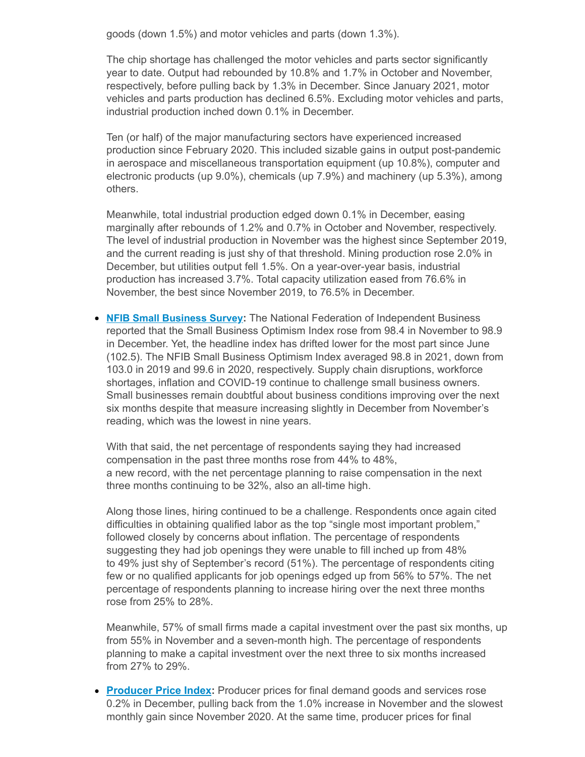goods (down 1.5%) and motor vehicles and parts (down 1.3%).

The chip shortage has challenged the motor vehicles and parts sector significantly year to date. Output had rebounded by 10.8% and 1.7% in October and November, respectively, before pulling back by 1.3% in December. Since January 2021, motor vehicles and parts production has declined 6.5%. Excluding motor vehicles and parts, industrial production inched down 0.1% in December.

Ten (or half) of the major manufacturing sectors have experienced increased production since February 2020. This included sizable gains in output post-pandemic in aerospace and miscellaneous transportation equipment (up 10.8%), computer and electronic products (up 9.0%), chemicals (up 7.9%) and machinery (up 5.3%), among others.

Meanwhile, total industrial production edged down 0.1% in December, easing marginally after rebounds of 1.2% and 0.7% in October and November, respectively. The level of industrial production in November was the highest since September 2019, and the current reading is just shy of that threshold. Mining production rose 2.0% in December, but utilities output fell 1.5%. On a year-over-year basis, industrial production has increased 3.7%. Total capacity utilization eased from 76.6% in November, the best since November 2019, to 76.5% in December.

**[NFIB Small Business Survey](https://click.email.nam.org/?qs=9eec9bb3bf6b87fad06538e8da95844268dde1dbca843924b337ec14109390e95d9def6f34630596fd4a2edc236252fe09c638be0a35d7fe8c0b8861088494e4):** The National Federation of Independent Business reported that the Small Business Optimism Index rose from 98.4 in November to 98.9 in December. Yet, the headline index has drifted lower for the most part since June (102.5). The NFIB Small Business Optimism Index averaged 98.8 in 2021, down from 103.0 in 2019 and 99.6 in 2020, respectively. Supply chain disruptions, workforce shortages, inflation and COVID-19 continue to challenge small business owners. Small businesses remain doubtful about business conditions improving over the next six months despite that measure increasing slightly in December from November's reading, which was the lowest in nine years.

With that said, the net percentage of respondents saying they had increased compensation in the past three months rose from 44% to 48%, a new record, with the net percentage planning to raise compensation in the next three months continuing to be 32%, also an all-time high.

Along those lines, hiring continued to be a challenge. Respondents once again cited difficulties in obtaining qualified labor as the top "single most important problem," followed closely by concerns about inflation. The percentage of respondents suggesting they had job openings they were unable to fill inched up from 48% to 49% just shy of September's record (51%). The percentage of respondents citing few or no qualified applicants for job openings edged up from 56% to 57%. The net percentage of respondents planning to increase hiring over the next three months rose from 25% to 28%.

Meanwhile, 57% of small firms made a capital investment over the past six months, up from 55% in November and a seven-month high. The percentage of respondents planning to make a capital investment over the next three to six months increased from 27% to 29%.

**[Producer](https://click.email.nam.org/?qs=9eec9bb3bf6b87fad0f82d5296202a57c8d74dbad30243f731cc744ae083e010d54dc71df80a5ee892a14c901a2c029a46f047057eb1a3ddb84df1c6b1b569e0) Price Index:** Producer prices for final demand goods and services rose 0.2% in December, pulling back from the 1.0% increase in November and the slowest monthly gain since November 2020. At the same time, producer prices for final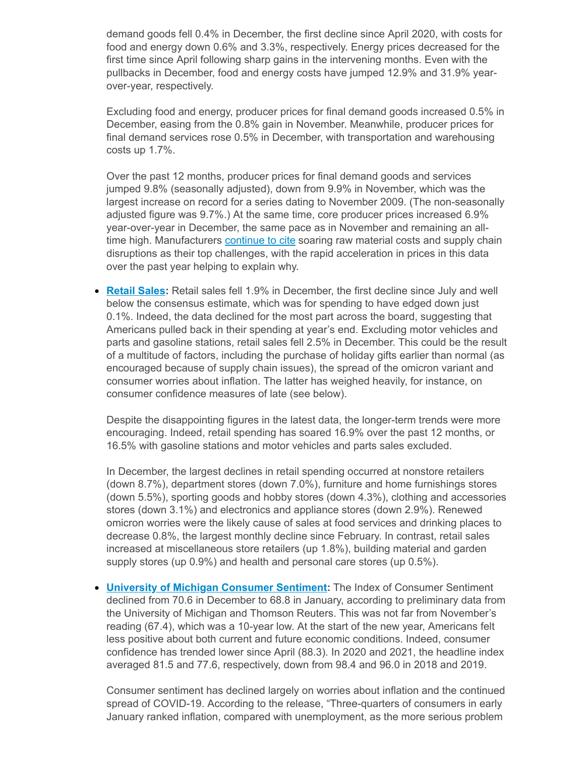demand goods fell 0.4% in December, the first decline since April 2020, with costs for food and energy down 0.6% and 3.3%, respectively. Energy prices decreased for the first time since April following sharp gains in the intervening months. Even with the pullbacks in December, food and energy costs have jumped 12.9% and 31.9% yearover-year, respectively.

Excluding food and energy, producer prices for final demand goods increased 0.5% in December, easing from the 0.8% gain in November. Meanwhile, producer prices for final demand services rose 0.5% in December, with transportation and warehousing costs up 1.7%.

Over the past 12 months, producer prices for final demand goods and services jumped 9.8% (seasonally adjusted), down from 9.9% in November, which was the largest increase on record for a series dating to November 2009. (The non-seasonally adjusted figure was 9.7%.) At the same time, core producer prices increased 6.9% year-over-year in December, the same pace as in November and remaining an alltime high. Manufacturers [continue](https://click.email.nam.org/?qs=9eec9bb3bf6b87fae22e7f61f54fa7c9bc12fb21f44f7961de5cebe297a1776f5fd9998b431e912e9350203f994e617af016664650452a5db21cf791b88673bd) to cite soaring raw material costs and supply chain disruptions as their top challenges, with the rapid acceleration in prices in this data over the past year helping to explain why.

**[Retail](https://click.email.nam.org/?qs=9eec9bb3bf6b87fa47ef04e1195dbc524c3b070056c91b5cd09c25025f92281b0f7640a86bebe94037660e701e4c44e393fe5d7c9af766c6bdbd0789dfa38f8f) Sales:** Retail sales fell 1.9% in December, the first decline since July and well below the consensus estimate, which was for spending to have edged down just 0.1%. Indeed, the data declined for the most part across the board, suggesting that Americans pulled back in their spending at year's end. Excluding motor vehicles and parts and gasoline stations, retail sales fell 2.5% in December. This could be the result of a multitude of factors, including the purchase of holiday gifts earlier than normal (as encouraged because of supply chain issues), the spread of the omicron variant and consumer worries about inflation. The latter has weighed heavily, for instance, on consumer confidence measures of late (see below).

Despite the disappointing figures in the latest data, the longer-term trends were more encouraging. Indeed, retail spending has soared 16.9% over the past 12 months, or 16.5% with gasoline stations and motor vehicles and parts sales excluded.

In December, the largest declines in retail spending occurred at nonstore retailers (down 8.7%), department stores (down 7.0%), furniture and home furnishings stores (down 5.5%), sporting goods and hobby stores (down 4.3%), clothing and accessories stores (down 3.1%) and electronics and appliance stores (down 2.9%). Renewed omicron worries were the likely cause of sales at food services and drinking places to decrease 0.8%, the largest monthly decline since February. In contrast, retail sales increased at miscellaneous store retailers (up 1.8%), building material and garden supply stores (up 0.9%) and health and personal care stores (up 0.5%).

**University of Michigan [Consumer](https://click.email.nam.org/?qs=9eec9bb3bf6b87fa722ddcfc1e8b503364fd002adfaecd1b5a0de2b76bd408effedf84de62c3daea45bd87fcf8c3f98c3ce96f31d8993c42bf1bfb830b9822a5) Sentiment:** The Index of Consumer Sentiment declined from 70.6 in December to 68.8 in January, according to preliminary data from the University of Michigan and Thomson Reuters. This was not far from November's reading (67.4), which was a 10-year low. At the start of the new year, Americans felt less positive about both current and future economic conditions. Indeed, consumer confidence has trended lower since April (88.3). In 2020 and 2021, the headline index averaged 81.5 and 77.6, respectively, down from 98.4 and 96.0 in 2018 and 2019.

Consumer sentiment has declined largely on worries about inflation and the continued spread of COVID-19. According to the release, "Three-quarters of consumers in early January ranked inflation, compared with unemployment, as the more serious problem